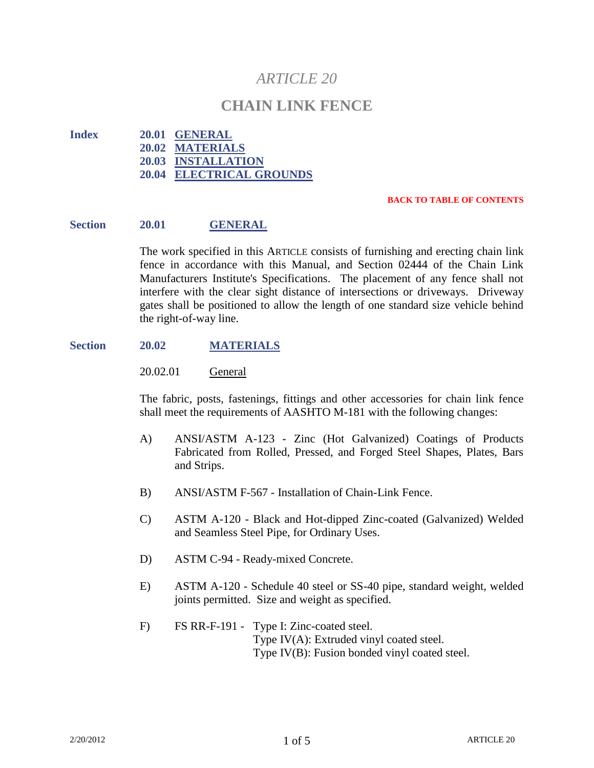# *ARTICLE 20*

## **CHAIN LINK FENCE**

**Index 20.01 GENERAL 20.02 MATERIALS 20.03 INSTALLATION 20.04 ELECTRICAL GROUNDS**

#### **BACK TO TABLE OF CONTENTS**

#### **Section 20.01 GENERAL**

The work specified in this ARTICLE consists of furnishing and erecting chain link fence in accordance with this Manual, and Section 02444 of the Chain Link Manufacturers Institute's Specifications. The placement of any fence shall not interfere with the clear sight distance of intersections or driveways. Driveway gates shall be positioned to allow the length of one standard size vehicle behind the right-of-way line.

#### **Section 20.02 MATERIALS**

20.02.01 General

The fabric, posts, fastenings, fittings and other accessories for chain link fence shall meet the requirements of AASHTO M-181 with the following changes:

- A) ANSI/ASTM A-123 Zinc (Hot Galvanized) Coatings of Products Fabricated from Rolled, Pressed, and Forged Steel Shapes, Plates, Bars and Strips.
- B) ANSI/ASTM F-567 Installation of Chain-Link Fence.
- C) ASTM A-120 Black and Hot-dipped Zinc-coated (Galvanized) Welded and Seamless Steel Pipe, for Ordinary Uses.
- D) ASTM C-94 Ready-mixed Concrete.
- E) ASTM A-120 Schedule 40 steel or SS-40 pipe, standard weight, welded joints permitted. Size and weight as specified.
- F) FS RR-F-191 Type I: Zinc-coated steel. Type IV(A): Extruded vinyl coated steel. Type IV(B): Fusion bonded vinyl coated steel.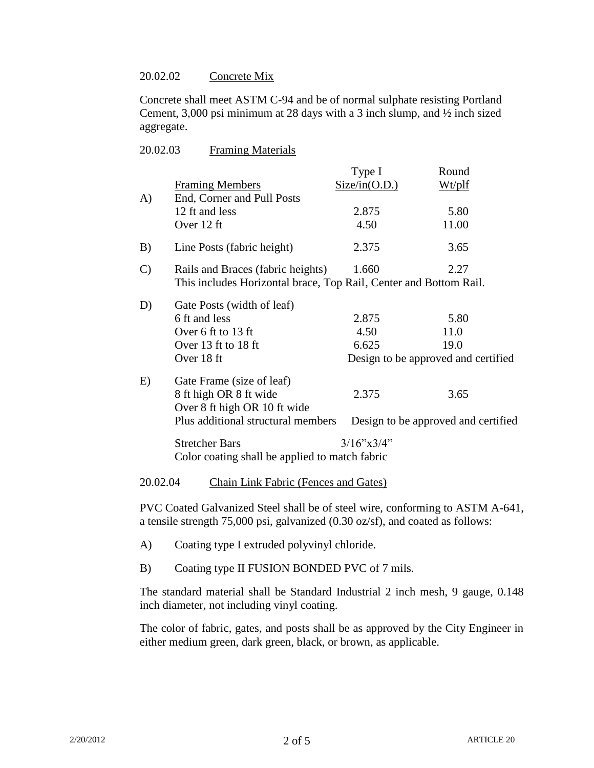### 20.02.02 Concrete Mix

Concrete shall meet ASTM C-94 and be of normal sulphate resisting Portland Cement, 3,000 psi minimum at 28 days with a 3 inch slump, and ½ inch sized aggregate.

| 20.02.03 | <b>Framing Materials</b> |
|----------|--------------------------|
|          |                          |

|               |                                                                   | Type $I$                            | Round  |  |
|---------------|-------------------------------------------------------------------|-------------------------------------|--------|--|
|               | <b>Framing Members</b>                                            | Size/in(O.D.)                       | Wt/plf |  |
| A)            | End, Corner and Pull Posts                                        |                                     |        |  |
|               | 12 ft and less                                                    | 2.875                               | 5.80   |  |
|               | Over 12 ft                                                        | 4.50                                | 11.00  |  |
| B)            | Line Posts (fabric height)                                        | 2.375                               | 3.65   |  |
| $\mathcal{C}$ | Rails and Braces (fabric heights)                                 | 1.660                               | 2.27   |  |
|               | This includes Horizontal brace, Top Rail, Center and Bottom Rail. |                                     |        |  |
| D)            | Gate Posts (width of leaf)                                        |                                     |        |  |
|               | 6 ft and less                                                     | 2.875                               | 5.80   |  |
|               | Over 6 ft to 13 ft                                                | 4.50                                | 11.0   |  |
|               | Over 13 ft to 18 ft                                               | 6.625                               | 19.0   |  |
|               | Over 18 ft                                                        | Design to be approved and certified |        |  |
| E)            | Gate Frame (size of leaf)                                         |                                     |        |  |
|               | 8 ft high OR 8 ft wide                                            | 2.375                               | 3.65   |  |
|               | Over 8 ft high OR 10 ft wide                                      |                                     |        |  |
|               | Plus additional structural members                                | Design to be approved and certified |        |  |
|               | <b>Stretcher Bars</b>                                             | $3/16$ "x $3/4$ "                   |        |  |
|               | Color coating shall be applied to match fabric                    |                                     |        |  |
|               |                                                                   |                                     |        |  |

20.02.04 Chain Link Fabric (Fences and Gates)

PVC Coated Galvanized Steel shall be of steel wire, conforming to ASTM A-641, a tensile strength 75,000 psi, galvanized (0.30 oz/sf), and coated as follows:

- A) Coating type I extruded polyvinyl chloride.
- B) Coating type II FUSION BONDED PVC of 7 mils.

The standard material shall be Standard Industrial 2 inch mesh, 9 gauge, 0.148 inch diameter, not including vinyl coating.

The color of fabric, gates, and posts shall be as approved by the City Engineer in either medium green, dark green, black, or brown, as applicable.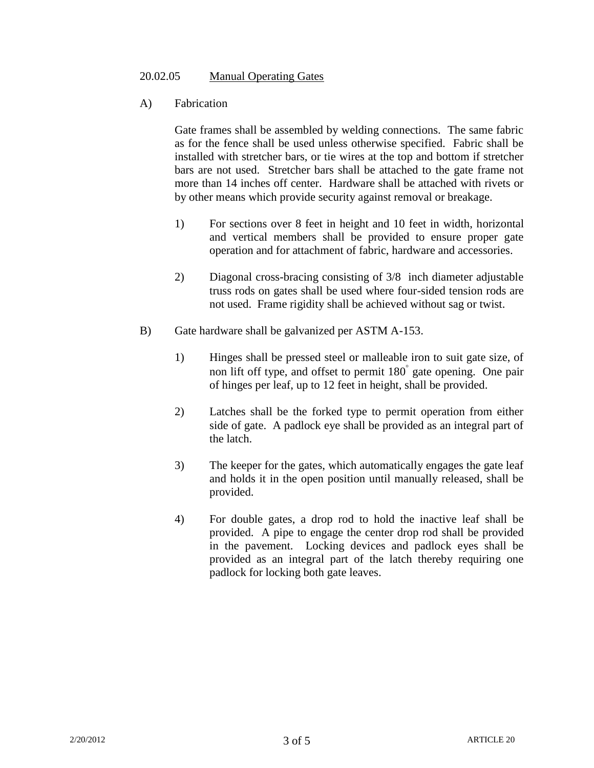## 20.02.05 Manual Operating Gates

A) Fabrication

Gate frames shall be assembled by welding connections. The same fabric as for the fence shall be used unless otherwise specified. Fabric shall be installed with stretcher bars, or tie wires at the top and bottom if stretcher bars are not used. Stretcher bars shall be attached to the gate frame not more than 14 inches off center. Hardware shall be attached with rivets or by other means which provide security against removal or breakage.

- 1) For sections over 8 feet in height and 10 feet in width, horizontal and vertical members shall be provided to ensure proper gate operation and for attachment of fabric, hardware and accessories.
- 2) Diagonal cross-bracing consisting of 3/8 inch diameter adjustable truss rods on gates shall be used where four-sided tension rods are not used. Frame rigidity shall be achieved without sag or twist.
- B) Gate hardware shall be galvanized per ASTM A-153.
	- 1) Hinges shall be pressed steel or malleable iron to suit gate size, of non lift off type, and offset to permit 180 gate opening. One pair of hinges per leaf, up to 12 feet in height, shall be provided.
	- 2) Latches shall be the forked type to permit operation from either side of gate. A padlock eye shall be provided as an integral part of the latch.
	- 3) The keeper for the gates, which automatically engages the gate leaf and holds it in the open position until manually released, shall be provided.
	- 4) For double gates, a drop rod to hold the inactive leaf shall be provided. A pipe to engage the center drop rod shall be provided in the pavement. Locking devices and padlock eyes shall be provided as an integral part of the latch thereby requiring one padlock for locking both gate leaves.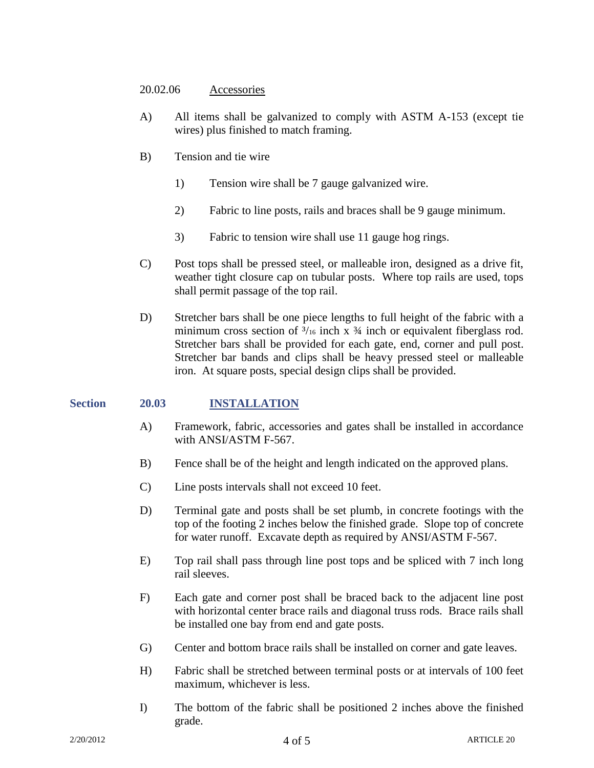#### 20.02.06 Accessories

- A) All items shall be galvanized to comply with ASTM A-153 (except tie wires) plus finished to match framing.
- B) Tension and tie wire
	- 1) Tension wire shall be 7 gauge galvanized wire.
	- 2) Fabric to line posts, rails and braces shall be 9 gauge minimum.
	- 3) Fabric to tension wire shall use 11 gauge hog rings.
- C) Post tops shall be pressed steel, or malleable iron, designed as a drive fit, weather tight closure cap on tubular posts. Where top rails are used, tops shall permit passage of the top rail.
- D) Stretcher bars shall be one piece lengths to full height of the fabric with a minimum cross section of  $\frac{3}{16}$  inch x  $\frac{3}{4}$  inch or equivalent fiberglass rod. Stretcher bars shall be provided for each gate, end, corner and pull post. Stretcher bar bands and clips shall be heavy pressed steel or malleable iron. At square posts, special design clips shall be provided.

### **Section 20.03 INSTALLATION**

- A) Framework, fabric, accessories and gates shall be installed in accordance with ANSI/ASTM F-567.
- B) Fence shall be of the height and length indicated on the approved plans.
- C) Line posts intervals shall not exceed 10 feet.
- D) Terminal gate and posts shall be set plumb, in concrete footings with the top of the footing 2 inches below the finished grade. Slope top of concrete for water runoff. Excavate depth as required by ANSI/ASTM F-567.
- E) Top rail shall pass through line post tops and be spliced with 7 inch long rail sleeves.
- F) Each gate and corner post shall be braced back to the adjacent line post with horizontal center brace rails and diagonal truss rods. Brace rails shall be installed one bay from end and gate posts.
- G) Center and bottom brace rails shall be installed on corner and gate leaves.
- H) Fabric shall be stretched between terminal posts or at intervals of 100 feet maximum, whichever is less.
- I) The bottom of the fabric shall be positioned 2 inches above the finished grade.